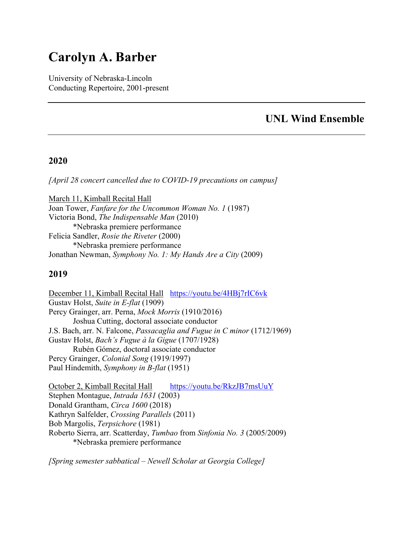# **Carolyn A. Barber**

University of Nebraska-Lincoln Conducting Repertoire, 2001-present

### **UNL Wind Ensemble**

### **2020**

*[April 28 concert cancelled due to COVID-19 precautions on campus]*

March 11, Kimball Recital Hall Joan Tower, *Fanfare for the Uncommon Woman No. 1* (1987) Victoria Bond, *The Indispensable Man* (2010) \*Nebraska premiere performance Felicia Sandler, *Rosie the Riveter* (2000) \*Nebraska premiere performance Jonathan Newman, *Symphony No. 1: My Hands Are a City* (2009)

### **2019**

December 11, Kimball Recital Hall https://youtu.be/4HBj7rIC6vk Gustav Holst, *Suite in E-flat* (1909) Percy Grainger, arr. Perna, *Mock Morris* (1910/2016) Joshua Cutting, doctoral associate conductor J.S. Bach, arr. N. Falcone, *Passacaglia and Fugue in C minor* (1712/1969) Gustav Holst, *Bach's Fugue à la Gigue* (1707/1928) Rubén Gómez, doctoral associate conductor Percy Grainger, *Colonial Song* (1919/1997) Paul Hindemith, *Symphony in B-flat* (1951)

October 2, Kimball Recital Hall https://youtu.be/RkzJB7msUuY Stephen Montague, *Intrada 1631* (2003) Donald Grantham, *Circa 1600* (2018) Kathryn Salfelder, *Crossing Parallels* (2011) Bob Margolis, *Terpsichore* (1981) Roberto Sierra, arr. Scatterday, *Tumbao* from *Sinfonia No. 3* (2005/2009) \*Nebraska premiere performance

*[Spring semester sabbatical – Newell Scholar at Georgia College]*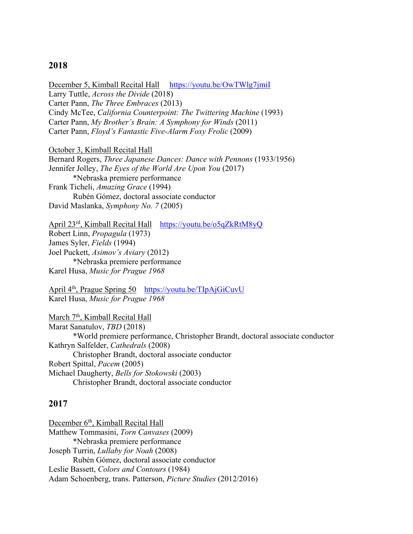#### **2018**

December 5, Kimball Recital Hall https://youtu.be/OwTWlg7jmiI Larry Tuttle, *Across the Divide* (2018) Carter Pann, *The Three Embraces* (2013) Cindy McTee, *California Counterpoint: The Twittering Machine* (1993) Carter Pann, *My Brother's Brain: A Symphony for Winds* (2011) Carter Pann, *Floyd's Fantastic Five-Alarm Foxy Frolic* (2009)

October 3, Kimball Recital Hall Bernard Rogers, *Three Japanese Dances: Dance with Pennons* (1933/1956) Jennifer Jolley, *The Eyes of the World Are Upon You* (2017) \*Nebraska premiere performance Frank Ticheli, *Amazing Grace* (1994) Rubén Gómez, doctoral associate conductor David Maslanka, *Symphony No. 7* (2005)

April 23rd, Kimball Recital Hall https://youtu.be/o5qZkRtM8yQ Robert Linn, *Propagula* (1973) James Syler, *Fields* (1994) Joel Puckett, *Asimov's Aviary* (2012) \*Nebraska premiere performance Karel Husa, *Music for Prague 1968*

April 4th, Prague Spring 50 https://youtu.be/TIpAjGiCuvU Karel Husa, *Music for Prague 1968*

March 7<sup>th</sup>, Kimball Recital Hall Marat Sanatulov, *TBD* (2018) \*World premiere performance, Christopher Brandt, doctoral associate conductor Kathryn Salfelder, *Cathedrals* (2008) Christopher Brandt, doctoral associate conductor Robert Spittal, *Pacem* (2005) Michael Daugherty, *Bells for Stokowski* (2003) Christopher Brandt, doctoral associate conductor

#### **2017**

December 6<sup>th</sup>, Kimball Recital Hall Matthew Tommasini, *Torn Canvases* (2009) \*Nebraska premiere performance Joseph Turrin, *Lullaby for Noah* (2008) Rubén Gómez, doctoral associate conductor Leslie Bassett, *Colors and Contours* (1984) Adam Schoenberg, trans. Patterson, *Picture Studies* (2012/2016)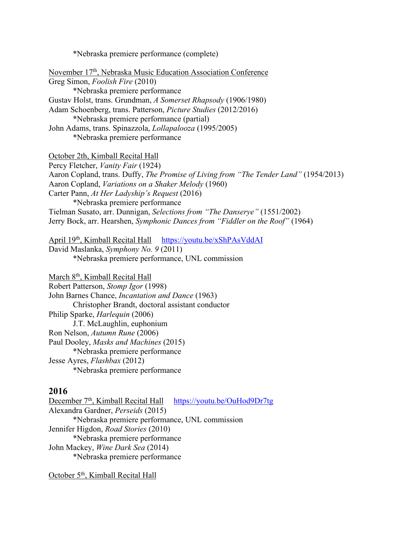\*Nebraska premiere performance (complete)

November 17th, Nebraska Music Education Association Conference Greg Simon, *Foolish Fire* (2010) \*Nebraska premiere performance Gustav Holst, trans. Grundman, *A Somerset Rhapsody* (1906/1980) Adam Schoenberg, trans. Patterson, *Picture Studies* (2012/2016) \*Nebraska premiere performance (partial) John Adams, trans. Spinazzola, *Lollapalooza* (1995/2005) \*Nebraska premiere performance October 2th, Kimball Recital Hall Percy Fletcher, *Vanity Fair* (1924) Aaron Copland, trans. Duffy, *The Promise of Living from "The Tender Land"* (1954/2013) Aaron Copland, *Variations on a Shaker Melody* (1960) Carter Pann, *At Her Ladyship's Request* (2016) \*Nebraska premiere performance Tielman Susato, arr. Dunnigan, *Selections from "The Danserye"* (1551/2002) Jerry Bock, arr. Hearshen, *Symphonic Dances from "Fiddler on the Roof"* (1964) April 19<sup>th</sup>, Kimball Recital Hall https://youtu.be/xShPAsVddAI

David Maslanka, *Symphony No. 9* (2011) \*Nebraska premiere performance, UNL commission

March 8<sup>th</sup>, Kimball Recital Hall Robert Patterson, *Stomp Igor* (1998) John Barnes Chance, *Incantation and Dance* (1963) Christopher Brandt, doctoral assistant conductor Philip Sparke, *Harlequin* (2006) J.T. McLaughlin, euphonium Ron Nelson, *Autumn Rune* (2006) Paul Dooley, *Masks and Machines* (2015) \*Nebraska premiere performance Jesse Ayres, *Flashbax* (2012) \*Nebraska premiere performance

### **2016**

December 7<sup>th</sup>, Kimball Recital Hall https://youtu.be/OuHod9Dr7tg Alexandra Gardner, *Perseids* (2015) \*Nebraska premiere performance, UNL commission Jennifer Higdon, *Road Stories* (2010) \*Nebraska premiere performance John Mackey, *Wine Dark Sea* (2014) \*Nebraska premiere performance

October 5<sup>th</sup>, Kimball Recital Hall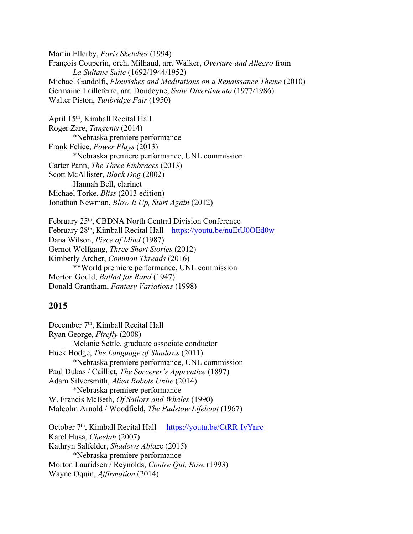Martin Ellerby, *Paris Sketches* (1994) François Couperin, orch. Milhaud, arr. Walker, *Overture and Allegro* from *La Sultane Suite* (1692/1944/1952) Michael Gandolfi, *Flourishes and Meditations on a Renaissance Theme* (2010) Germaine Tailleferre, arr. Dondeyne, *Suite Divertimento* (1977/1986) Walter Piston, *Tunbridge Fair* (1950)

April 15th, Kimball Recital Hall Roger Zare, *Tangents* (2014) \*Nebraska premiere performance Frank Felice, *Power Plays* (2013) \*Nebraska premiere performance, UNL commission Carter Pann, *The Three Embraces* (2013) Scott McAllister, *Black Dog* (2002) Hannah Bell, clarinet Michael Torke, *Bliss* (2013 edition) Jonathan Newman, *Blow It Up, Start Again* (2012)

February 25<sup>th</sup>, CBDNA North Central Division Conference February 28th, Kimball Recital Hall https://youtu.be/nuEtU0OEd0w Dana Wilson, *Piece of Mind* (1987) Gernot Wolfgang, *Three Short Stories* (2012) Kimberly Archer, *Common Threads* (2016) \*\*World premiere performance, UNL commission Morton Gould, *Ballad for Band* (1947) Donald Grantham, *Fantasy Variations* (1998)

#### **2015**

December 7<sup>th</sup>, Kimball Recital Hall Ryan George, *Firefly* (2008) Melanie Settle, graduate associate conductor Huck Hodge, *The Language of Shadows* (2011) \*Nebraska premiere performance, UNL commission Paul Dukas / Cailliet, *The Sorcerer's Apprentice* (1897) Adam Silversmith, *Alien Robots Unite* (2014) \*Nebraska premiere performance W. Francis McBeth, *Of Sailors and Whales* (1990) Malcolm Arnold / Woodfield, *The Padstow Lifeboat* (1967)

October 7<sup>th</sup>, Kimball Recital Hall https://youtu.be/CtRR-IyYnrc Karel Husa, *Cheetah* (2007) Kathryn Salfelder, *Shadows Ablaz*e (2015) \*Nebraska premiere performance Morton Lauridsen / Reynolds, *Contre Qui, Rose* (1993) Wayne Oquin, *Affirmation* (2014)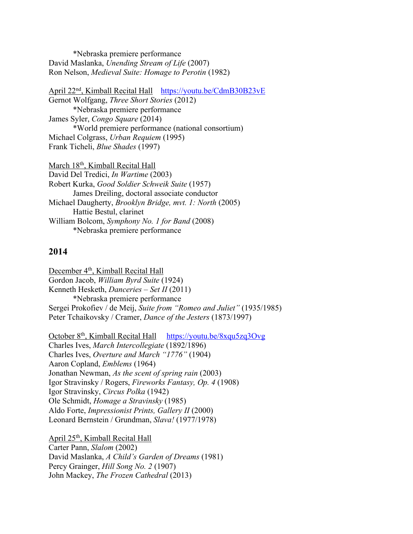\*Nebraska premiere performance David Maslanka, *Unending Stream of Life* (2007) Ron Nelson, *Medieval Suite: Homage to Perotin* (1982)

April 22<sup>nd</sup>, Kimball Recital Hall https://youtu.be/CdmB30B23vE Gernot Wolfgang, *Three Short Stories* (2012) \*Nebraska premiere performance James Syler, *Congo Square* (2014) \*World premiere performance (national consortium) Michael Colgrass, *Urban Requiem* (1995) Frank Ticheli, *Blue Shades* (1997)

March 18<sup>th</sup>, Kimball Recital Hall David Del Tredici, *In Wartime* (2003) Robert Kurka, *Good Soldier Schweik Suite* (1957) James Dreiling, doctoral associate conductor Michael Daugherty, *Brooklyn Bridge, mvt. 1: North* (2005) Hattie Bestul, clarinet William Bolcom, *Symphony No. 1 for Band* (2008) \*Nebraska premiere performance

#### **2014**

December 4<sup>th</sup>, Kimball Recital Hall Gordon Jacob, *William Byrd Suite* (1924) Kenneth Hesketh, *Danceries – Set II* (2011) \*Nebraska premiere performance Sergei Prokofiev / de Meij, *Suite from "Romeo and Juliet"* (1935/1985) Peter Tchaikovsky / Cramer, *Dance of the Jesters* (1873/1997)

October 8<sup>th</sup>, Kimball Recital Hall https://youtu.be/8xqu5zq3Ovg Charles Ives, *March Intercollegiate* (1892/1896) Charles Ives, *Overture and March "1776"* (1904) Aaron Copland, *Emblems* (1964) Jonathan Newman, *As the scent of spring rain* (2003) Igor Stravinsky / Rogers, *Fireworks Fantasy, Op. 4* (1908) Igor Stravinsky, *Circus Polka* (1942) Ole Schmidt, *Homage a Stravinsky* (1985) Aldo Forte, *Impressionist Prints, Gallery II* (2000) Leonard Bernstein / Grundman, *Slava!* (1977/1978)

April 25th, Kimball Recital Hall Carter Pann, *Slalom* (2002) David Maslanka, *A Child's Garden of Dreams* (1981) Percy Grainger, *Hill Song No. 2* (1907) John Mackey, *The Frozen Cathedral* (2013)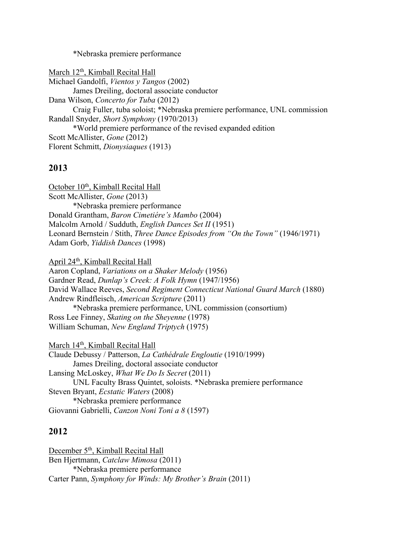\*Nebraska premiere performance

March 12<sup>th</sup>, Kimball Recital Hall Michael Gandolfi, *Vientos y Tangos* (2002) James Dreiling, doctoral associate conductor Dana Wilson, *Concerto for Tuba* (2012) Craig Fuller, tuba soloist; \*Nebraska premiere performance, UNL commission Randall Snyder, *Short Symphony* (1970/2013) \*World premiere performance of the revised expanded edition Scott McAllister, *Gone* (2012) Florent Schmitt, *Dionysiaques* (1913)

### **2013**

October 10<sup>th</sup>, Kimball Recital Hall Scott McAllister, *Gone* (2013) \*Nebraska premiere performance Donald Grantham, *Baron Cimetiére's Mambo* (2004) Malcolm Arnold / Sudduth, *English Dances Set II* (1951) Leonard Bernstein / Stith, *Three Dance Episodes from "On the Town"* (1946/1971) Adam Gorb, *Yiddish Dances* (1998)

April 24th, Kimball Recital Hall

Aaron Copland, *Variations on a Shaker Melody* (1956) Gardner Read, *Dunlap's Creek: A Folk Hymn* (1947/1956) David Wallace Reeves, *Second Regiment Connecticut National Guard March* (1880) Andrew Rindfleisch, *American Scripture* (2011) \*Nebraska premiere performance, UNL commission (consortium) Ross Lee Finney, *Skating on the Sheyenne* (1978) William Schuman, *New England Triptych* (1975)

March 14<sup>th</sup>, Kimball Recital Hall Claude Debussy / Patterson, *La Cathédrale Engloutie* (1910/1999) James Dreiling, doctoral associate conductor Lansing McLoskey, *What We Do Is Secret* (2011) UNL Faculty Brass Quintet, soloists. \*Nebraska premiere performance Steven Bryant, *Ecstatic Waters* (2008) \*Nebraska premiere performance Giovanni Gabrielli, *Canzon Noni Toni a 8* (1597)

### **2012**

December 5<sup>th</sup>, Kimball Recital Hall Ben Hjertmann, *Catclaw Mimosa* (2011) \*Nebraska premiere performance Carter Pann, *Symphony for Winds: My Brother's Brain* (2011)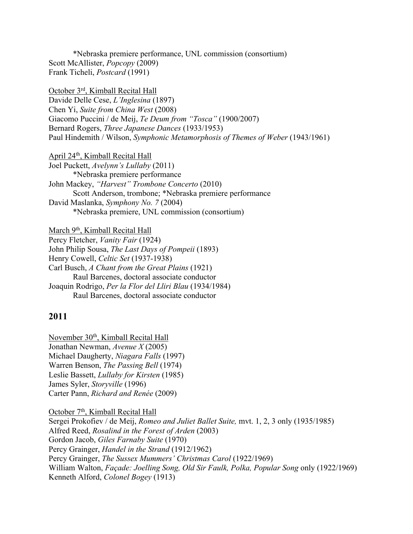\*Nebraska premiere performance, UNL commission (consortium) Scott McAllister, *Popcopy* (2009) Frank Ticheli, *Postcard* (1991)

October 3rd, Kimball Recital Hall Davide Delle Cese, *L'Inglesina* (1897) Chen Yi, *Suite from China West* (2008) Giacomo Puccini / de Meij, *Te Deum from "Tosca"* (1900/2007) Bernard Rogers, *Three Japanese Dances* (1933/1953) Paul Hindemith / Wilson, *Symphonic Metamorphosis of Themes of Weber* (1943/1961)

April 24th, Kimball Recital Hall Joel Puckett, *Avelynn's Lullaby* (2011) \*Nebraska premiere performance John Mackey, *"Harvest" Trombone Concerto* (2010) Scott Anderson, trombone; \*Nebraska premiere performance David Maslanka, *Symphony No. 7* (2004) \*Nebraska premiere, UNL commission (consortium)

March 9<sup>th</sup>, Kimball Recital Hall Percy Fletcher, *Vanity Fair* (1924) John Philip Sousa, *The Last Days of Pompeii* (1893) Henry Cowell, *Celtic Set* (1937-1938) Carl Busch, *A Chant from the Great Plains* (1921) Raul Barcenes, doctoral associate conductor Joaquin Rodrigo, *Per la Flor del Lliri Blau* (1934/1984) Raul Barcenes, doctoral associate conductor

#### **2011**

November 30<sup>th</sup>, Kimball Recital Hall Jonathan Newman, *Avenue X* (2005) Michael Daugherty, *Niagara Falls* (1997) Warren Benson, *The Passing Bell* (1974) Leslie Bassett, *Lullaby for Kirsten* (1985) James Syler, *Storyville* (1996) Carter Pann, *Richard and Renée* (2009)

October 7<sup>th</sup>, Kimball Recital Hall Sergei Prokofiev / de Meij, *Romeo and Juliet Ballet Suite,* mvt. 1, 2, 3 only (1935/1985) Alfred Reed, *Rosalind in the Forest of Arden* (2003) Gordon Jacob, *Giles Farnaby Suite* (1970) Percy Grainger, *Handel in the Strand* (1912/1962) Percy Grainger, *The Sussex Mummers' Christmas Carol* (1922/1969) William Walton, *Façade: Joelling Song, Old Sir Faulk, Polka, Popular Song* only (1922/1969) Kenneth Alford, *Colonel Bogey* (1913)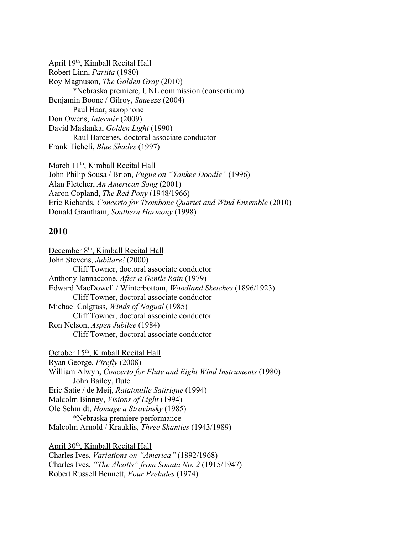April 19th, Kimball Recital Hall Robert Linn, *Partita* (1980) Roy Magnuson, *The Golden Gray* (2010) \*Nebraska premiere, UNL commission (consortium) Benjamin Boone / Gilroy, *Squeeze* (2004) Paul Haar, saxophone Don Owens, *Intermix* (2009) David Maslanka, *Golden Light* (1990) Raul Barcenes, doctoral associate conductor Frank Ticheli, *Blue Shades* (1997)

March 11<sup>th</sup>, Kimball Recital Hall John Philip Sousa / Brion, *Fugue on "Yankee Doodle"* (1996) Alan Fletcher, *An American Song* (2001) Aaron Copland, *The Red Pony* (1948/1966) Eric Richards, *Concerto for Trombone Quartet and Wind Ensemble* (2010) Donald Grantham, *Southern Harmony* (1998)

#### **2010**

December 8<sup>th</sup>, Kimball Recital Hall John Stevens, *Jubilare!* (2000) Cliff Towner, doctoral associate conductor Anthony Iannaccone, *After a Gentle Rain* (1979) Edward MacDowell / Winterbottom, *Woodland Sketches* (1896/1923) Cliff Towner, doctoral associate conductor Michael Colgrass, *Winds of Nagual* (1985) Cliff Towner, doctoral associate conductor Ron Nelson, *Aspen Jubilee* (1984) Cliff Towner, doctoral associate conductor

October 15<sup>th</sup>, Kimball Recital Hall Ryan George, *Firefly* (2008) William Alwyn, *Concerto for Flute and Eight Wind Instruments* (1980) John Bailey, flute Eric Satie / de Meij, *Ratatouille Satirique* (1994) Malcolm Binney, *Visions of Light* (1994) Ole Schmidt, *Homage a Stravinsky* (1985) \*Nebraska premiere performance Malcolm Arnold / Krauklis, *Three Shanties* (1943/1989)

April 30th, Kimball Recital Hall Charles Ives, *Variations on "America"* (1892/1968) Charles Ives, *"The Alcotts" from Sonata No. 2* (1915/1947) Robert Russell Bennett, *Four Preludes* (1974)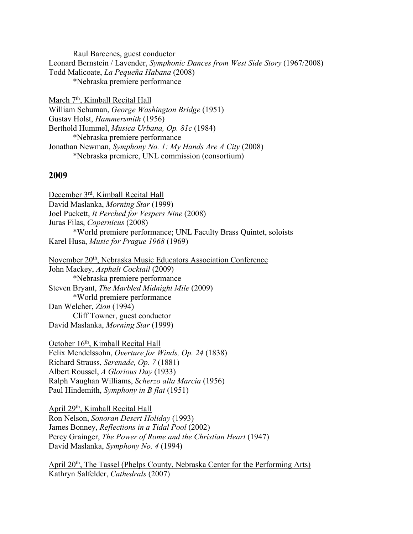Raul Barcenes, guest conductor Leonard Bernstein / Lavender, *Symphonic Dances from West Side Story* (1967/2008) Todd Malicoate, *La Pequeña Habana* (2008) \*Nebraska premiere performance

March 7<sup>th</sup>, Kimball Recital Hall William Schuman, *George Washington Bridge* (1951) Gustav Holst, *Hammersmith* (1956) Berthold Hummel, *Musica Urbana, Op. 81c* (1984) \*Nebraska premiere performance Jonathan Newman, *Symphony No. 1: My Hands Are A City* (2008) \*Nebraska premiere, UNL commission (consortium)

#### **2009**

December 3rd, Kimball Recital Hall David Maslanka, *Morning Star* (1999) Joel Puckett, *It Perched for Vespers Nine* (2008) Juras Filas, *Copernicus* (2008) \*World premiere performance; UNL Faculty Brass Quintet, soloists Karel Husa, *Music for Prague 1968* (1969)

November 20th, Nebraska Music Educators Association Conference John Mackey, *Asphalt Cocktail* (2009) \*Nebraska premiere performance Steven Bryant, *The Marbled Midnight Mile* (2009) \*World premiere performance Dan Welcher, *Zion* (1994) Cliff Towner, guest conductor David Maslanka, *Morning Star* (1999)

October 16th, Kimball Recital Hall Felix Mendelssohn, *Overture for Winds, Op. 24* (1838) Richard Strauss, *Serenade, Op. 7* (1881) Albert Roussel, *A Glorious Day* (1933) Ralph Vaughan Williams, *Scherzo alla Marcia* (1956) Paul Hindemith, *Symphony in B flat* (1951)

April 29th, Kimball Recital Hall Ron Nelson, *Sonoran Desert Holiday* (1993) James Bonney, *Reflections in a Tidal Pool* (2002) Percy Grainger, *The Power of Rome and the Christian Heart* (1947) David Maslanka, *Symphony No. 4* (1994)

April 20<sup>th</sup>, The Tassel (Phelps County, Nebraska Center for the Performing Arts) Kathryn Salfelder, *Cathedrals* (2007)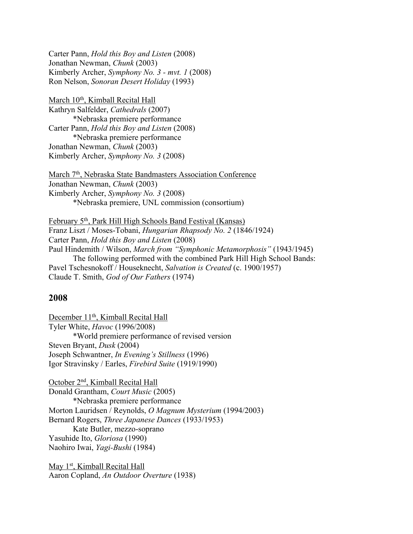Carter Pann, *Hold this Boy and Listen* (2008) Jonathan Newman, *Chunk* (2003) Kimberly Archer, *Symphony No. 3 - mvt. 1* (2008) Ron Nelson, *Sonoran Desert Holiday* (1993)

March 10<sup>th</sup>, Kimball Recital Hall Kathryn Salfelder, *Cathedrals* (2007) \*Nebraska premiere performance Carter Pann, *Hold this Boy and Listen* (2008) \*Nebraska premiere performance Jonathan Newman, *Chunk* (2003) Kimberly Archer, *Symphony No. 3* (2008)

March 7<sup>th</sup>, Nebraska State Bandmasters Association Conference Jonathan Newman, *Chunk* (2003) Kimberly Archer, *Symphony No. 3* (2008) \*Nebraska premiere, UNL commission (consortium)

February 5th, Park Hill High Schools Band Festival (Kansas) Franz Liszt / Moses-Tobani, *Hungarian Rhapsody No. 2* (1846/1924) Carter Pann, *Hold this Boy and Listen* (2008) Paul Hindemith / Wilson, *March from "Symphonic Metamorphosis"* (1943/1945) The following performed with the combined Park Hill High School Bands: Pavel Tschesnokoff / Houseknecht, *Salvation is Created* (c. 1900/1957) Claude T. Smith, *God of Our Fathers* (1974)

#### **2008**

December 11<sup>th</sup>, Kimball Recital Hall Tyler White, *Havoc* (1996/2008) \*World premiere performance of revised version Steven Bryant, *Dusk* (2004) Joseph Schwantner, *In Evening's Stillness* (1996) Igor Stravinsky / Earles, *Firebird Suite* (1919/1990)

October 2nd, Kimball Recital Hall Donald Grantham, *Court Music* (2005) \*Nebraska premiere performance Morton Lauridsen / Reynolds, *O Magnum Mysterium* (1994/2003) Bernard Rogers, *Three Japanese Dances* (1933/1953) Kate Butler, mezzo-soprano Yasuhide Ito, *Gloriosa* (1990) Naohiro Iwai, *Yagi-Bushi* (1984)

May 1<sup>st</sup>, Kimball Recital Hall Aaron Copland, *An Outdoor Overture* (1938)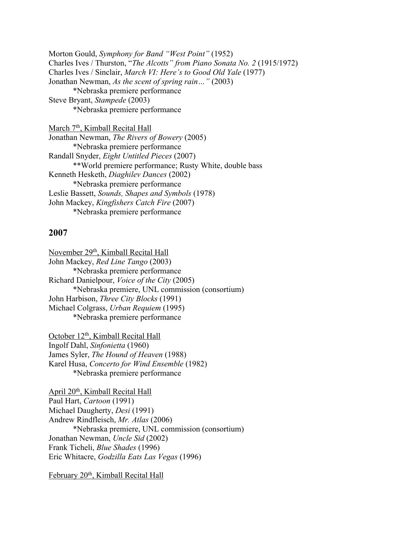Morton Gould, *Symphony for Band "West Point"* (1952) Charles Ives / Thurston, "*The Alcotts" from Piano Sonata No. 2* (1915/1972) Charles Ives / Sinclair, *March VI: Here's to Good Old Yale* (1977) Jonathan Newman, *As the scent of spring rain…"* (2003) \*Nebraska premiere performance Steve Bryant, *Stampede* (2003) \*Nebraska premiere performance

March 7<sup>th</sup>, Kimball Recital Hall Jonathan Newman, *The Rivers of Bowery* (2005) \*Nebraska premiere performance Randall Snyder, *Eight Untitled Pieces* (2007) \*\*World premiere performance; Rusty White, double bass Kenneth Hesketh, *Diaghilev Dances* (2002) \*Nebraska premiere performance Leslie Bassett, *Sounds, Shapes and Symbols* (1978) John Mackey, *Kingfishers Catch Fire* (2007) \*Nebraska premiere performance

#### **2007**

November 29<sup>th</sup>, Kimball Recital Hall John Mackey, *Red Line Tango* (2003) \*Nebraska premiere performance Richard Danielpour, *Voice of the City* (2005) \*Nebraska premiere, UNL commission (consortium) John Harbison, *Three City Blocks* (1991) Michael Colgrass, *Urban Requiem* (1995) \*Nebraska premiere performance

October 12<sup>th</sup>, Kimball Recital Hall Ingolf Dahl, *Sinfonietta* (1960) James Syler, *The Hound of Heaven* (1988) Karel Husa, *Concerto for Wind Ensemble* (1982) \*Nebraska premiere performance

April 20th, Kimball Recital Hall Paul Hart, *Cartoon* (1991) Michael Daugherty, *Desi* (1991) Andrew Rindfleisch, *Mr. Atlas* (2006) \*Nebraska premiere, UNL commission (consortium) Jonathan Newman, *Uncle Sid* (2002) Frank Ticheli, *Blue Shades* (1996) Eric Whitacre, *Godzilla Eats Las Vegas* (1996)

February 20<sup>th</sup>, Kimball Recital Hall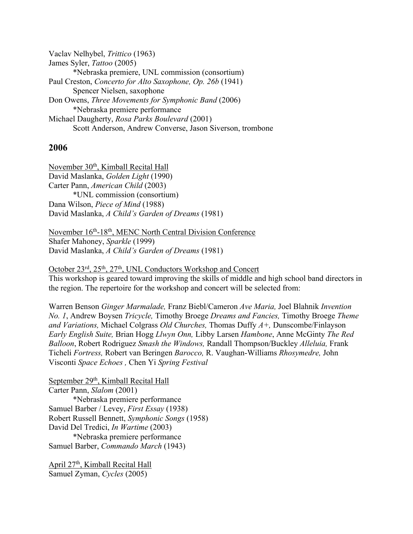Vaclav Nelhybel, *Trittico* (1963) James Syler, *Tattoo* (2005) \*Nebraska premiere, UNL commission (consortium) Paul Creston, *Concerto for Alto Saxophone, Op. 26b* (1941) Spencer Nielsen, saxophone Don Owens, *Three Movements for Symphonic Band* (2006) \*Nebraska premiere performance Michael Daugherty, *Rosa Parks Boulevard* (2001) Scott Anderson, Andrew Converse, Jason Siverson, trombone

#### **2006**

November 30<sup>th</sup>, Kimball Recital Hall David Maslanka, *Golden Light* (1990) Carter Pann, *American Child* (2003) \*UNL commission (consortium) Dana Wilson, *Piece of Mind* (1988) David Maslanka, *A Child's Garden of Dreams* (1981)

November 16th-18th, MENC North Central Division Conference Shafer Mahoney, *Sparkle* (1999) David Maslanka, *A Child's Garden of Dreams* (1981)

October 23rd, 25<sup>th</sup>, 27<sup>th</sup>, UNL Conductors Workshop and Concert This workshop is geared toward improving the skills of middle and high school band directors in the region. The repertoire for the workshop and concert will be selected from:

Warren Benson *Ginger Marmalade,* Franz Biebl/Cameron *Ave Maria,* Joel Blahnik *Invention No. 1*, Andrew Boysen *Tricycle,* Timothy Broege *Dreams and Fancies,* Timothy Broege *Theme and Variations,* Michael Colgrass *Old Churches,* Thomas Duffy *A+,* Dunscombe/Finlayson *Early English Suite,* Brian Hogg *Llwyn Onn,* Libby Larsen *Hambone*, Anne McGinty *The Red Balloon*, Robert Rodriguez *Smash the Windows,* Randall Thompson/Buckley *Alleluia,* Frank Ticheli *Fortress,* Robert van Beringen *Barocco,* R. Vaughan-Williams *Rhosymedre,* John Visconti *Space Echoes ,* Chen Yi *Spring Festival* 

September 29<sup>th</sup>, Kimball Recital Hall Carter Pann, *Slalom* (2001) \*Nebraska premiere performance Samuel Barber / Levey, *First Essay* (1938) Robert Russell Bennett, *Symphonic Songs* (1958) David Del Tredici, *In Wartime* (2003) \*Nebraska premiere performance Samuel Barber, *Commando March* (1943)

April 27th, Kimball Recital Hall Samuel Zyman, *Cycles* (2005)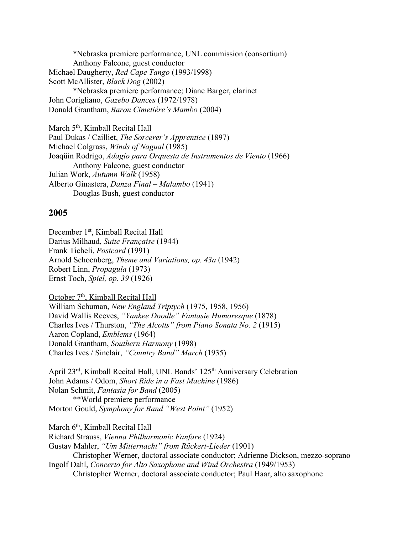\*Nebraska premiere performance, UNL commission (consortium) Anthony Falcone, guest conductor Michael Daugherty, *Red Cape Tango* (1993/1998) Scott McAllister, *Black Dog* (2002) \*Nebraska premiere performance; Diane Barger, clarinet John Corigliano, *Gazebo Dances* (1972/1978) Donald Grantham, *Baron Cimetiére's Mambo* (2004)

March 5<sup>th</sup>, Kimball Recital Hall Paul Dukas / Cailliet, *The Sorcerer's Apprentice* (1897) Michael Colgrass, *Winds of Nagual* (1985) Joaqüin Rodrigo, *Adagio para Orquesta de Instrumentos de Viento* (1966) Anthony Falcone, guest conductor Julian Work, *Autumn Walk* (1958) Alberto Ginastera, *Danza Final – Malambo* (1941) Douglas Bush, guest conductor

#### **2005**

December 1<sup>st</sup>, Kimball Recital Hall Darius Milhaud, *Suite Française* (1944) Frank Ticheli, *Postcard* (1991) Arnold Schoenberg, *Theme and Variations, op. 43a* (1942) Robert Linn, *Propagula* (1973) Ernst Toch, *Spiel, op. 39* (1926)

October 7<sup>th</sup>, Kimball Recital Hall William Schuman, *New England Triptych* (1975, 1958, 1956) David Wallis Reeves, *"Yankee Doodle" Fantasie Humoresque* (1878) Charles Ives / Thurston, *"The Alcotts" from Piano Sonata No. 2* (1915) Aaron Copland, *Emblems* (1964) Donald Grantham, *Southern Harmony* (1998) Charles Ives / Sinclair, *"Country Band" March* (1935)

April 23<sup>rd</sup>, Kimball Recital Hall, UNL Bands' 125<sup>th</sup> Anniversary Celebration John Adams / Odom, *Short Ride in a Fast Machine* (1986) Nolan Schmit, *Fantasia for Band* (2005) \*\*World premiere performance Morton Gould, *Symphony for Band "West Point"* (1952)

March 6<sup>th</sup>, Kimball Recital Hall Richard Strauss, *Vienna Philharmonic Fanfare* (1924) Gustav Mahler, *"Um Mitternacht" from Rückert-Lieder* (1901) Christopher Werner, doctoral associate conductor; Adrienne Dickson, mezzo-soprano Ingolf Dahl, *Concerto for Alto Saxophone and Wind Orchestra* (1949/1953) Christopher Werner, doctoral associate conductor; Paul Haar, alto saxophone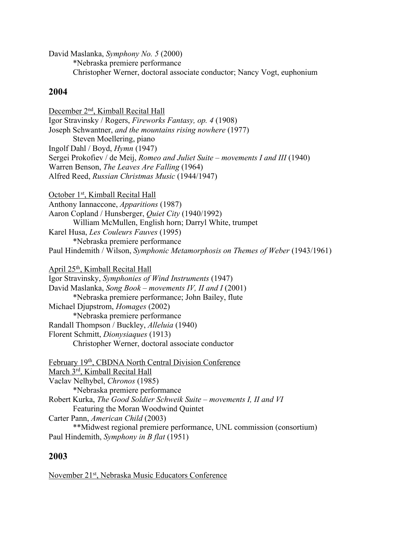David Maslanka, *Symphony No. 5* (2000) \*Nebraska premiere performance Christopher Werner, doctoral associate conductor; Nancy Vogt, euphonium

### **2004**

December 2nd, Kimball Recital Hall Igor Stravinsky / Rogers, *Fireworks Fantasy, op. 4* (1908) Joseph Schwantner, *and the mountains rising nowhere* (1977) Steven Moellering, piano Ingolf Dahl / Boyd, *Hymn* (1947) Sergei Prokofiev / de Meij, *Romeo and Juliet Suite – movements I and III* (1940) Warren Benson, *The Leaves Are Falling* (1964) Alfred Reed, *Russian Christmas Music* (1944/1947) October 1<sup>st</sup>, Kimball Recital Hall Anthony Iannaccone, *Apparitions* (1987) Aaron Copland / Hunsberger, *Quiet City* (1940/1992) William McMullen, English horn; Darryl White, trumpet Karel Husa, *Les Couleurs Fauves* (1995) \*Nebraska premiere performance Paul Hindemith / Wilson, *Symphonic Metamorphosis on Themes of Weber* (1943/1961) April 25th, Kimball Recital Hall Igor Stravinsky, *Symphonies of Wind Instruments* (1947) David Maslanka, *Song Book – movements IV, II and I* (2001) \*Nebraska premiere performance; John Bailey, flute Michael Djupstrom, *Homages* (2002) \*Nebraska premiere performance Randall Thompson / Buckley, *Alleluia* (1940) Florent Schmitt, *Dionysiaques* (1913) Christopher Werner, doctoral associate conductor February 19th, CBDNA North Central Division Conference March 3rd, Kimball Recital Hall Vaclav Nelhybel, *Chronos* (1985) \*Nebraska premiere performance Robert Kurka, *The Good Soldier Schweik Suite – movements I, II and VI* Featuring the Moran Woodwind Quintet Carter Pann, *American Child* (2003) \*\*Midwest regional premiere performance, UNL commission (consortium)

Paul Hindemith, *Symphony in B flat* (1951)

### **2003**

November 21st, Nebraska Music Educators Conference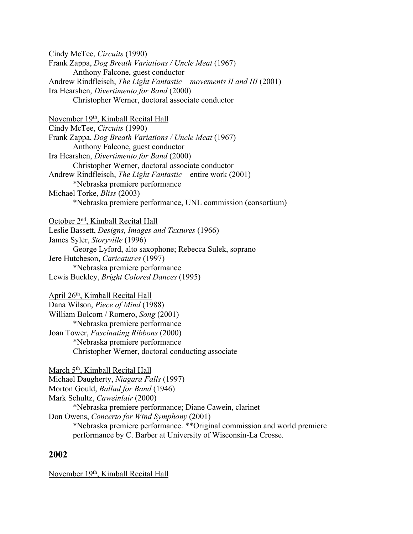Cindy McTee, *Circuits* (1990) Frank Zappa, *Dog Breath Variations / Uncle Meat* (1967) Anthony Falcone, guest conductor Andrew Rindfleisch, *The Light Fantastic – movements II and III* (2001) Ira Hearshen, *Divertimento for Band* (2000) Christopher Werner, doctoral associate conductor

November 19<sup>th</sup>, Kimball Recital Hall Cindy McTee, *Circuits* (1990) Frank Zappa, *Dog Breath Variations / Uncle Meat* (1967) Anthony Falcone, guest conductor Ira Hearshen, *Divertimento for Band* (2000) Christopher Werner, doctoral associate conductor Andrew Rindfleisch, *The Light Fantastic* – entire work (2001) \*Nebraska premiere performance Michael Torke, *Bliss* (2003) \*Nebraska premiere performance, UNL commission (consortium)

October 2nd, Kimball Recital Hall Leslie Bassett, *Designs, Images and Textures* (1966) James Syler, *Storyville* (1996) George Lyford, alto saxophone; Rebecca Sulek, soprano Jere Hutcheson, *Caricatures* (1997) \*Nebraska premiere performance Lewis Buckley, *Bright Colored Dances* (1995)

April 26th, Kimball Recital Hall Dana Wilson, *Piece of Mind* (1988) William Bolcom / Romero, *Song* (2001) \*Nebraska premiere performance Joan Tower, *Fascinating Ribbons* (2000) \*Nebraska premiere performance Christopher Werner, doctoral conducting associate

March 5<sup>th</sup>, Kimball Recital Hall Michael Daugherty, *Niagara Falls* (1997) Morton Gould, *Ballad for Band* (1946) Mark Schultz, *Caweinlair* (2000) \*Nebraska premiere performance; Diane Cawein, clarinet Don Owens, *Concerto for Wind Symphony* (2001) \*Nebraska premiere performance. \*\*Original commission and world premiere performance by C. Barber at University of Wisconsin-La Crosse.

### **2002**

November 19<sup>th</sup>, Kimball Recital Hall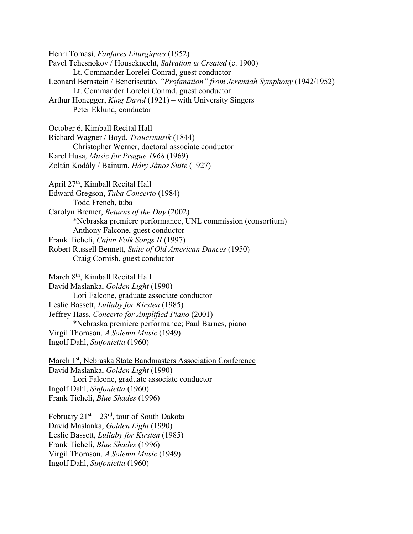Henri Tomasi, *Fanfares Liturgiques* (1952) Pavel Tchesnokov / Houseknecht, *Salvation is Created* (c. 1900) Lt. Commander Lorelei Conrad, guest conductor Leonard Bernstein / Bencriscutto, *"Profanation" from Jeremiah Symphony* (1942/1952) Lt. Commander Lorelei Conrad, guest conductor Arthur Honegger, *King David* (1921) – with University Singers Peter Eklund, conductor October 6, Kimball Recital Hall Richard Wagner / Boyd, *Trauermusik* (1844) Christopher Werner, doctoral associate conductor Karel Husa, *Music for Prague 1968* (1969) Zoltán Kodály / Bainum, *Háry János Suite* (1927) April 27th, Kimball Recital Hall Edward Gregson, *Tuba Concerto* (1984) Todd French, tuba Carolyn Bremer, *Returns of the Day* (2002) \*Nebraska premiere performance, UNL commission (consortium) Anthony Falcone, guest conductor Frank Ticheli, *Cajun Folk Songs II* (1997) Robert Russell Bennett, *Suite of Old American Dances* (1950) Craig Cornish, guest conductor March 8th, Kimball Recital Hall

David Maslanka, *Golden Light* (1990) Lori Falcone, graduate associate conductor Leslie Bassett, *Lullaby for Kirsten* (1985) Jeffrey Hass, *Concerto for Amplified Piano* (2001) \*Nebraska premiere performance; Paul Barnes, piano Virgil Thomson, *A Solemn Music* (1949) Ingolf Dahl, *Sinfonietta* (1960)

March 1<sup>st</sup>, Nebraska State Bandmasters Association Conference David Maslanka, *Golden Light* (1990) Lori Falcone, graduate associate conductor Ingolf Dahl, *Sinfonietta* (1960) Frank Ticheli, *Blue Shades* (1996)

February  $21^{st} - 23^{rd}$ , tour of South Dakota David Maslanka, *Golden Light* (1990) Leslie Bassett, *Lullaby for Kirsten* (1985) Frank Ticheli, *Blue Shades* (1996) Virgil Thomson, *A Solemn Music* (1949) Ingolf Dahl, *Sinfonietta* (1960)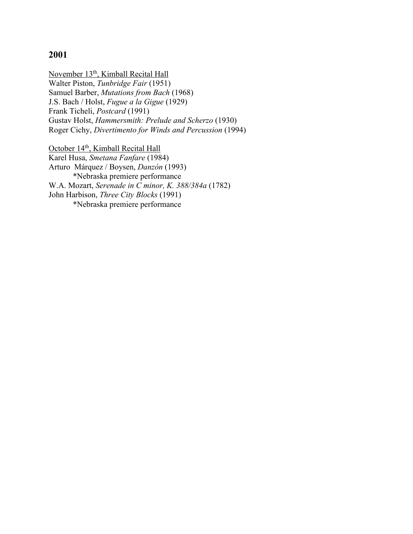### **2001**

November 13<sup>th</sup>, Kimball Recital Hall Walter Piston, *Tunbridge Fair* (1951) Samuel Barber, *Mutations from Bach* (1968) J.S. Bach / Holst, *Fugue a la Gigue* (1929) Frank Ticheli, *Postcard* (1991) Gustav Holst, *Hammersmith: Prelude and Scherzo* (1930) Roger Cichy, *Divertimento for Winds and Percussion* (1994)

October 14<sup>th</sup>, Kimball Recital Hall Karel Husa, *Smetana Fanfare* (1984) Arturo Márquez / Boysen, *Danzón* (1993) \*Nebraska premiere performance W.A. Mozart, *Serenade in C minor, K. 388/384a* (1782) John Harbison, *Three City Blocks* (1991) \*Nebraska premiere performance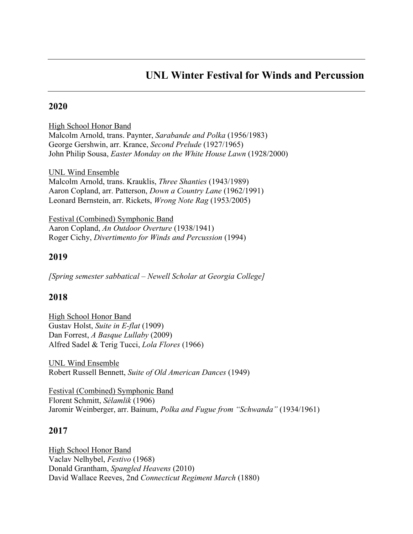## **UNL Winter Festival for Winds and Percussion**

### **2020**

High School Honor Band Malcolm Arnold, trans. Paynter, *Sarabande and Polka* (1956/1983) George Gershwin, arr. Krance, *Second Prelude* (1927/1965) John Philip Sousa, *Easter Monday on the White House Lawn* (1928/2000)

UNL Wind Ensemble Malcolm Arnold, trans. Krauklis, *Three Shanties* (1943/1989) Aaron Copland, arr. Patterson, *Down a Country Lane* (1962/1991) Leonard Bernstein, arr. Rickets, *Wrong Note Rag* (1953/2005)

Festival (Combined) Symphonic Band Aaron Copland, *An Outdoor Overture* (1938/1941) Roger Cichy, *Divertimento for Winds and Percussion* (1994)

### **2019**

*[Spring semester sabbatical – Newell Scholar at Georgia College]*

### **2018**

High School Honor Band Gustav Holst, *Suite in E-flat* (1909) Dan Forrest, *A Basque Lullaby* (2009) Alfred Sadel & Terig Tucci, *Lola Flores* (1966)

UNL Wind Ensemble Robert Russell Bennett, *Suite of Old American Dances* (1949)

Festival (Combined) Symphonic Band Florent Schmitt, *Sélamlik* (1906) Jaromir Weinberger, arr. Bainum, *Polka and Fugue from "Schwanda"* (1934/1961)

### **2017**

High School Honor Band Vaclav Nelhybel, *Festivo* (1968) Donald Grantham, *Spangled Heavens* (2010) David Wallace Reeves, 2nd *Connecticut Regiment March* (1880)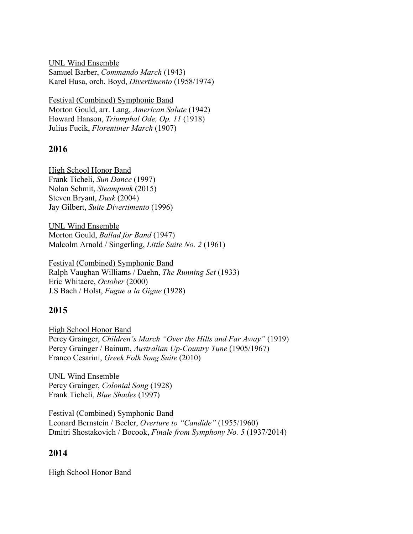UNL Wind Ensemble Samuel Barber, *Commando March* (1943) Karel Husa, orch. Boyd, *Divertimento* (1958/1974)

Festival (Combined) Symphonic Band Morton Gould, arr. Lang, *American Salute* (1942) Howard Hanson, *Triumphal Ode, Op. 11* (1918) Julius Fucik, *Florentiner March* (1907)

### **2016**

High School Honor Band Frank Ticheli, *Sun Dance* (1997) Nolan Schmit, *Steampunk* (2015) Steven Bryant, *Dusk* (2004) Jay Gilbert, *Suite Divertimento* (1996)

UNL Wind Ensemble Morton Gould, *Ballad for Band* (1947) Malcolm Arnold / Singerling, *Little Suite No. 2* (1961)

Festival (Combined) Symphonic Band Ralph Vaughan Williams / Daehn, *The Running Set* (1933) Eric Whitacre, *October* (2000) J.S Bach / Holst, *Fugue a la Gigue* (1928)

### **2015**

High School Honor Band Percy Grainger, *Children's March "Over the Hills and Far Away"* (1919) Percy Grainger / Bainum, *Australian Up-Country Tune* (1905/1967) Franco Cesarini, *Greek Folk Song Suite* (2010)

UNL Wind Ensemble Percy Grainger, *Colonial Song* (1928) Frank Ticheli, *Blue Shades* (1997)

Festival (Combined) Symphonic Band Leonard Bernstein / Beeler, *Overture to "Candide"* (1955/1960) Dmitri Shostakovich / Bocook, *Finale from Symphony No. 5* (1937/2014)

### **2014**

High School Honor Band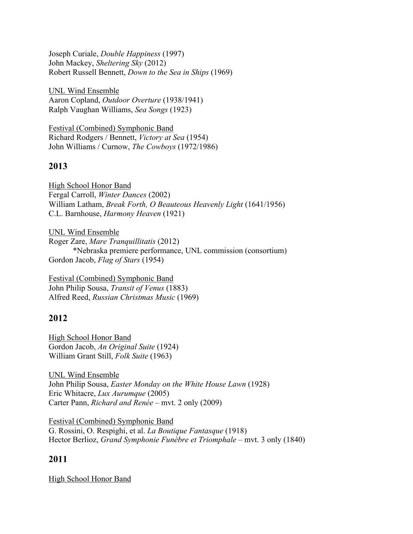Joseph Curiale, *Double Happiness* (1997) John Mackey, *Sheltering Sky* (2012) Robert Russell Bennett, *Down to the Sea in Ships* (1969)

UNL Wind Ensemble Aaron Copland, *Outdoor Overture* (1938/1941) Ralph Vaughan Williams, *Sea Songs* (1923)

Festival (Combined) Symphonic Band Richard Rodgers / Bennett, *Victory at Sea* (1954) John Williams / Curnow, *The Cowboys* (1972/1986)

### **2013**

High School Honor Band Fergal Carroll, *Winter Dances* (2002) William Latham, *Break Forth, O Beauteous Heavenly Light* (1641/1956) C.L. Barnhouse, *Harmony Heaven* (1921)

UNL Wind Ensemble Roger Zare, *Mare Tranquillitatis* (2012) \*Nebraska premiere performance, UNL commission (consortium) Gordon Jacob, *Flag of Stars* (1954)

Festival (Combined) Symphonic Band John Philip Sousa, *Transit of Venus* (1883) Alfred Reed, *Russian Christmas Music* (1969)

### **2012**

High School Honor Band Gordon Jacob, *An Original Suite* (1924) William Grant Still, *Folk Suite* (1963)

UNL Wind Ensemble John Philip Sousa, *Easter Monday on the White House Lawn* (1928) Eric Whitacre, *Lux Aurumque* (2005) Carter Pann, *Richard and Renée* – mvt. 2 only (2009)

Festival (Combined) Symphonic Band G. Rossini, O. Respighi, et al. *La Boutique Fantasque* (1918) Hector Berlioz, *Grand Symphonie Funèbre et Triomphale* – mvt. 3 only (1840)

### **2011**

High School Honor Band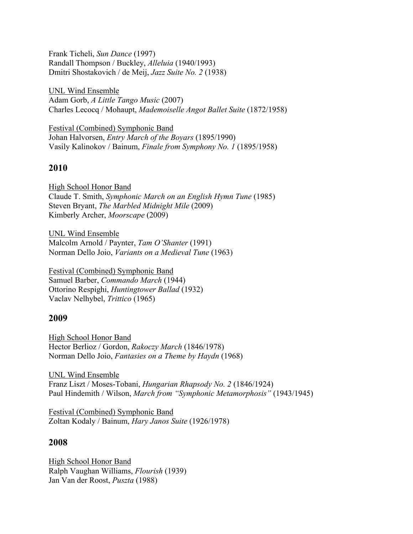Frank Ticheli, *Sun Dance* (1997) Randall Thompson / Buckley, *Alleluia* (1940/1993) Dmitri Shostakovich / de Meij, *Jazz Suite No. 2* (1938)

UNL Wind Ensemble Adam Gorb, *A Little Tango Music* (2007) Charles Lecocq / Mohaupt, *Mademoiselle Angot Ballet Suite* (1872/1958)

Festival (Combined) Symphonic Band Johan Halvorsen, *Entry March of the Boyars* (1895/1990) Vasily Kalinokov / Bainum, *Finale from Symphony No. 1* (1895/1958)

### **2010**

High School Honor Band Claude T. Smith, *Symphonic March on an English Hymn Tune* (1985) Steven Bryant, *The Marbled Midnight Mile* (2009) Kimberly Archer, *Moorscape* (2009)

UNL Wind Ensemble Malcolm Arnold / Paynter, *Tam O'Shanter* (1991) Norman Dello Joio, *Variants on a Medieval Tune* (1963)

Festival (Combined) Symphonic Band Samuel Barber, *Commando March* (1944) Ottorino Respighi, *Huntingtower Ballad* (1932) Vaclav Nelhybel, *Trittico* (1965)

#### **2009**

High School Honor Band Hector Berlioz / Gordon, *Rakoczy March* (1846/1978) Norman Dello Joio, *Fantasies on a Theme by Haydn* (1968)

UNL Wind Ensemble Franz Liszt / Moses-Tobani, *Hungarian Rhapsody No. 2* (1846/1924) Paul Hindemith / Wilson, *March from "Symphonic Metamorphosis"* (1943/1945)

Festival (Combined) Symphonic Band Zoltan Kodaly / Bainum, *Hary Janos Suite* (1926/1978)

### **2008**

High School Honor Band Ralph Vaughan Williams, *Flourish* (1939) Jan Van der Roost, *Puszta* (1988)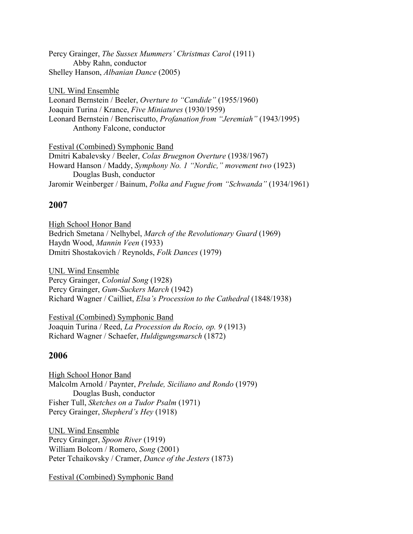Percy Grainger, *The Sussex Mummers' Christmas Carol* (1911) Abby Rahn, conductor Shelley Hanson, *Albanian Dance* (2005)

UNL Wind Ensemble Leonard Bernstein / Beeler, *Overture to "Candide"* (1955/1960) Joaquin Turina / Krance, *Five Miniatures* (1930/1959) Leonard Bernstein / Bencriscutto, *Profanation from "Jeremiah"* (1943/1995) Anthony Falcone, conductor

Festival (Combined) Symphonic Band Dmitri Kabalevsky / Beeler, *Colas Bruegnon Overture* (1938/1967) Howard Hanson / Maddy, *Symphony No. 1 "Nordic," movement two* (1923) Douglas Bush, conductor Jaromir Weinberger / Bainum, *Polka and Fugue from "Schwanda"* (1934/1961)

### **2007**

High School Honor Band Bedrich Smetana / Nelhybel, *March of the Revolutionary Guard* (1969) Haydn Wood, *Mannin Veen* (1933) Dmitri Shostakovich / Reynolds, *Folk Dances* (1979)

UNL Wind Ensemble Percy Grainger, *Colonial Song* (1928) Percy Grainger, *Gum-Suckers March* (1942) Richard Wagner / Cailliet, *Elsa's Procession to the Cathedral* (1848/1938)

Festival (Combined) Symphonic Band Joaquin Turina / Reed, *La Procession du Rocio, op. 9* (1913) Richard Wagner / Schaefer, *Huldigungsmarsch* (1872)

### **2006**

High School Honor Band Malcolm Arnold / Paynter, *Prelude, Siciliano and Rondo* (1979) Douglas Bush, conductor Fisher Tull, *Sketches on a Tudor Psalm* (1971) Percy Grainger, *Shepherd's Hey* (1918)

UNL Wind Ensemble Percy Grainger, *Spoon River* (1919) William Bolcom / Romero, *Song* (2001) Peter Tchaikovsky / Cramer, *Dance of the Jesters* (1873)

Festival (Combined) Symphonic Band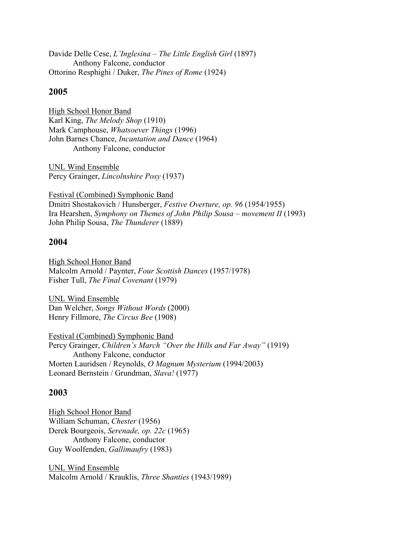Davide Delle Cese, *L'Inglesina – The Little English Girl* (1897) Anthony Falcone, conductor Ottorino Resphighi / Duker, *The Pines of Rome* (1924)

### **2005**

High School Honor Band Karl King, *The Melody Shop* (1910) Mark Camphouse, *Whatsoever Things* (1996) John Barnes Chance, *Incantation and Dance* (1964) Anthony Falcone, conductor

UNL Wind Ensemble Percy Grainger, *Lincolnshire Posy* (1937)

Festival (Combined) Symphonic Band Dmitri Shostakovich / Hunsberger, *Festive Overture, op. 96* (1954/1955) Ira Hearshen, *Symphony on Themes of John Philip Sousa – movement II* (1993) John Philip Sousa, *The Thunderer* (1889)

### **2004**

High School Honor Band Malcolm Arnold / Paynter, *Four Scottish Dances* (1957/1978) Fisher Tull, *The Final Covenant* (1979)

UNL Wind Ensemble Dan Welcher, *Songs Without Words* (2000) Henry Fillmore, *The Circus Bee* (1908)

Festival (Combined) Symphonic Band Percy Grainger, *Children's March "Over the Hills and Far Away"* (1919) Anthony Falcone, conductor Morten Lauridsen / Reynolds, *O Magnum Mysterium* (1994/2003) Leonard Bernstein / Grundman, *Slava!* (1977)

### **2003**

High School Honor Band William Schuman, *Chester* (1956) Derek Bourgeois, *Serenade, op. 22c* (1965) Anthony Falcone, conductor Guy Woolfenden, *Gallimaufry* (1983)

UNL Wind Ensemble Malcolm Arnold / Krauklis, *Three Shanties* (1943/1989)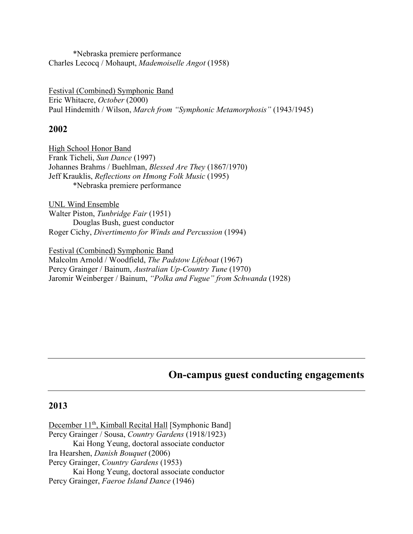\*Nebraska premiere performance Charles Lecocq / Mohaupt, *Mademoiselle Angot* (1958)

Festival (Combined) Symphonic Band Eric Whitacre, *October* (2000) Paul Hindemith / Wilson, *March from "Symphonic Metamorphosis"* (1943/1945)

#### **2002**

High School Honor Band Frank Ticheli, *Sun Dance* (1997) Johannes Brahms / Buehlman, *Blessed Are They* (1867/1970) Jeff Krauklis, *Reflections on Hmong Folk Music* (1995) \*Nebraska premiere performance

UNL Wind Ensemble Walter Piston, *Tunbridge Fair* (1951) Douglas Bush, guest conductor Roger Cichy, *Divertimento for Winds and Percussion* (1994)

Festival (Combined) Symphonic Band

Malcolm Arnold / Woodfield, *The Padstow Lifeboat* (1967) Percy Grainger / Bainum, *Australian Up-Country Tune* (1970) Jaromir Weinberger / Bainum, *"Polka and Fugue" from Schwanda* (1928)

### **On-campus guest conducting engagements**

#### **2013**

December 11<sup>th</sup>, Kimball Recital Hall [Symphonic Band] Percy Grainger / Sousa, *Country Gardens* (1918/1923) Kai Hong Yeung, doctoral associate conductor Ira Hearshen, *Danish Bouquet* (2006) Percy Grainger, *Country Gardens* (1953) Kai Hong Yeung, doctoral associate conductor Percy Grainger, *Faeroe Island Dance* (1946)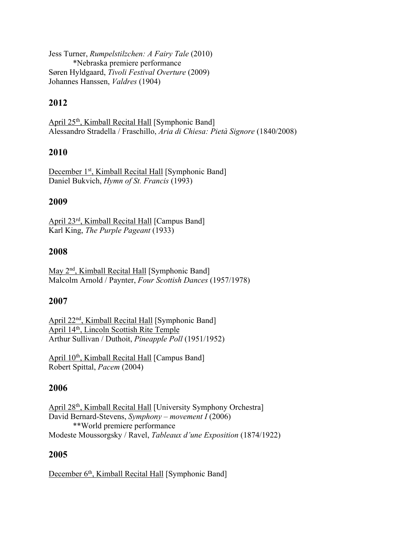Jess Turner, *Rumpelstilzchen: A Fairy Tale* (2010) \*Nebraska premiere performance Søren Hyldgaard, *Tivoli Festival Overture* (2009) Johannes Hanssen, *Valdres* (1904)

### **2012**

April 25<sup>th</sup>, Kimball Recital Hall [Symphonic Band] Alessandro Stradella / Fraschillo, *Aria di Chiesa: Pietà Signore* (1840/2008)

### **2010**

December 1<sup>st</sup>, Kimball Recital Hall [Symphonic Band] Daniel Bukvich, *Hymn of St. Francis* (1993)

### **2009**

April 23rd, Kimball Recital Hall [Campus Band] Karl King, *The Purple Pageant* (1933)

### **2008**

May 2<sup>nd</sup>, Kimball Recital Hall [Symphonic Band] Malcolm Arnold / Paynter, *Four Scottish Dances* (1957/1978)

### **2007**

April 22nd, Kimball Recital Hall [Symphonic Band] April 14th, Lincoln Scottish Rite Temple Arthur Sullivan / Duthoit, *Pineapple Poll* (1951/1952)

April 10<sup>th</sup>, Kimball Recital Hall [Campus Band] Robert Spittal, *Pacem* (2004)

#### **2006**

April 28th, Kimball Recital Hall [University Symphony Orchestra] David Bernard-Stevens, *Symphony – movement I* (2006) \*\*World premiere performance Modeste Moussorgsky / Ravel, *Tableaux d'une Exposition* (1874/1922)

### **2005**

December 6<sup>th</sup>, Kimball Recital Hall [Symphonic Band]